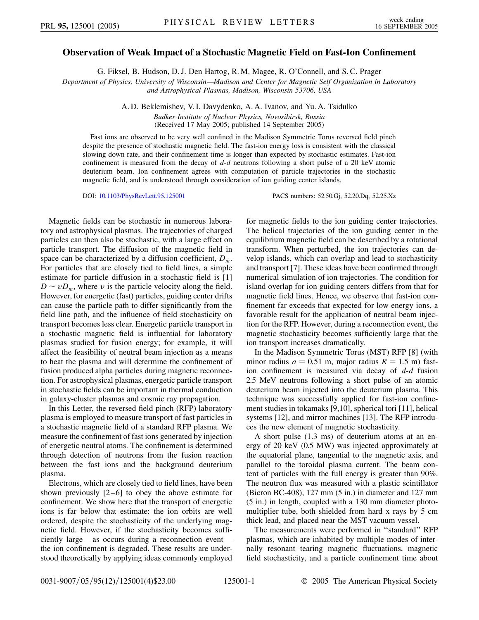## **Observation of Weak Impact of a Stochastic Magnetic Field on Fast-Ion Confinement**

G. Fiksel, B. Hudson, D. J. Den Hartog, R. M. Magee, R. O'Connell, and S. C. Prager

*Department of Physics, University of Wisconsin—Madison and Center for Magnetic Self Organization in Laboratory and Astrophysical Plasmas, Madison, Wisconsin 53706, USA*

> A. D. Beklemishev, V. I. Davydenko, A. A. Ivanov, and Yu. A. Tsidulko *Budker Institute of Nuclear Physics, Novosibirsk, Russia*

(Received 17 May 2005; published 14 September 2005)

Fast ions are observed to be very well confined in the Madison Symmetric Torus reversed field pinch despite the presence of stochastic magnetic field. The fast-ion energy loss is consistent with the classical slowing down rate, and their confinement time is longer than expected by stochastic estimates. Fast-ion confinement is measured from the decay of *d*-*d* neutrons following a short pulse of a 20 keV atomic deuterium beam. Ion confinement agrees with computation of particle trajectories in the stochastic magnetic field, and is understood through consideration of ion guiding center islands.

DOI: [10.1103/PhysRevLett.95.125001](http://dx.doi.org/10.1103/PhysRevLett.95.125001) PACS numbers: 52.50.Gj, 52.20.Dq, 52.25.Xz

Magnetic fields can be stochastic in numerous laboratory and astrophysical plasmas. The trajectories of charged particles can then also be stochastic, with a large effect on particle transport. The diffusion of the magnetic field in space can be characterized by a diffusion coefficient, *Dm*. For particles that are closely tied to field lines, a simple estimate for particle diffusion in a stochastic field is [1]  $D \sim vD_m$ , where *v* is the particle velocity along the field. However, for energetic (fast) particles, guiding center drifts can cause the particle path to differ significantly from the field line path, and the influence of field stochasticity on transport becomes less clear. Energetic particle transport in a stochastic magnetic field is influential for laboratory plasmas studied for fusion energy; for example, it will affect the feasibility of neutral beam injection as a means to heat the plasma and will determine the confinement of fusion produced alpha particles during magnetic reconnection. For astrophysical plasmas, energetic particle transport in stochastic fields can be important in thermal conduction in galaxy-cluster plasmas and cosmic ray propagation.

In this Letter, the reversed field pinch (RFP) laboratory plasma is employed to measure transport of fast particles in a stochastic magnetic field of a standard RFP plasma. We measure the confinement of fast ions generated by injection of energetic neutral atoms. The confinement is determined through detection of neutrons from the fusion reaction between the fast ions and the background deuterium plasma.

Electrons, which are closely tied to field lines, have been shown previously [2–6] to obey the above estimate for confinement. We show here that the transport of energetic ions is far below that estimate: the ion orbits are well ordered, despite the stochasticity of the underlying magnetic field. However, if the stochasticity becomes sufficiently large—as occurs during a reconnection event the ion confinement is degraded. These results are understood theoretically by applying ideas commonly employed for magnetic fields to the ion guiding center trajectories. The helical trajectories of the ion guiding center in the equilibrium magnetic field can be described by a rotational transform. When perturbed, the ion trajectories can develop islands, which can overlap and lead to stochasticity and transport [7]. These ideas have been confirmed through numerical simulation of ion trajectories. The condition for island overlap for ion guiding centers differs from that for magnetic field lines. Hence, we observe that fast-ion confinement far exceeds that expected for low energy ions, a favorable result for the application of neutral beam injection for the RFP. However, during a reconnection event, the magnetic stochasticity becomes sufficiently large that the ion transport increases dramatically.

In the Madison Symmetric Torus (MST) RFP [8] (with minor radius  $a = 0.51$  m, major radius  $R = 1.5$  m) fastion confinement is measured via decay of *d*-*d* fusion 2.5 MeV neutrons following a short pulse of an atomic deuterium beam injected into the deuterium plasma. This technique was successfully applied for fast-ion confinement studies in tokamaks [9,10], spherical tori [11], helical systems [12], and mirror machines [13]. The RFP introduces the new element of magnetic stochasticity.

A short pulse (1.3 ms) of deuterium atoms at an energy of 20 keV (0.5 MW) was injected approximately at the equatorial plane, tangential to the magnetic axis, and parallel to the toroidal plasma current. The beam content of particles with the full energy is greater than 90%. The neutron flux was measured with a plastic scintillator (Bicron BC-408), 127 mm (5 in.) in diameter and 127 mm (5 in.) in length, coupled with a 130 mm diameter photomultiplier tube, both shielded from hard x rays by 5 cm thick lead, and placed near the MST vacuum vessel.

The measurements were performed in ''standard'' RFP plasmas, which are inhabited by multiple modes of internally resonant tearing magnetic fluctuations, magnetic field stochasticity, and a particle confinement time about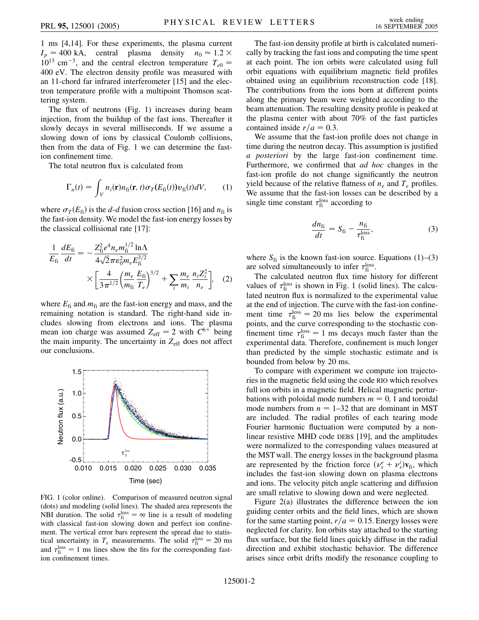1 ms [4,14]. For these experiments, the plasma current  $I_p = 400 \text{ kA}$ , central plasma density  $n_0 \approx 1.2 \times$  $10^{13}$  cm<sup>-3</sup>, and the central electron temperature  $T_{e0}$  = 400 eV. The electron density profile was measured with an 11-chord far infrared interferometer [15] and the electron temperature profile with a multipoint Thomson scattering system.

The flux of neutrons (Fig. 1) increases during beam injection, from the buildup of the fast ions. Thereafter it slowly decays in several milliseconds. If we assume a slowing down of ions by classical Coulomb collisions, then from the data of Fig. 1 we can determine the fastion confinement time.

The total neutron flux is calculated from

$$
\Gamma_n(t) = \int_V n_i(\mathbf{r}) n_{fi}(\mathbf{r}, t) \sigma_T(E_{fi}(t)) \nu_{fi}(t) dV, \qquad (1)
$$

where  $\sigma_T(E_{\rm fi})$  is the *d*-*d* fusion cross section [16] and  $n_{\rm fi}$  is the fast-ion density. We model the fast-ion energy losses by the classical collisional rate [17]:

$$
\frac{1}{E_{\rm fi}} \frac{dE_{\rm fi}}{dt} = -\frac{Z_{\rm fi}^2 e^4 n_e m_{\rm fi}^{1/2} \ln \Lambda}{4\sqrt{2} \pi \epsilon_0^2 m_e E_{\rm fi}^{3/2}} \times \left[ \frac{4}{3\pi^{1/2}} \left( \frac{m_e}{m_{\rm fi}} \frac{E_{\rm fi}}{T_e} \right)^{3/2} + \sum_i \frac{m_e}{m_i} \frac{n_i Z_i^2}{n_e} \right], \quad (2)
$$

where  $E_{fi}$  and  $m_{fi}$  are the fast-ion energy and mass, and the remaining notation is standard. The right-hand side includes slowing from electrons and ions. The plasma mean ion charge was assumed  $Z_{\text{eff}} = 2$  with  $C^{6+}$  being the main impurity. The uncertainty in  $Z_{\text{eff}}$  does not affect our conclusions.



FIG. 1 (color online). Comparison of measured neutron signal (dots) and modeling (solid lines). The shaded area represents the NBI duration. The solid  $\tau_{\rm fi}^{\rm loss} = \infty$  line is a result of modeling with classical fast-ion slowing down and perfect ion confinement. The vertical error bars represent the spread due to statistical uncertainty in  $T_e$  measurements. The solid  $\tau_{\rm fi}^{\rm loss} = 20$  ms and  $\tau_{\rm fi}^{\rm loss} = 1$  ms lines show the fits for the corresponding fastion confinement times.

The fast-ion density profile at birth is calculated numerically by tracking the fast ions and computing the time spent at each point. The ion orbits were calculated using full orbit equations with equilibrium magnetic field profiles obtained using an equilibrium reconstruction code [18]. The contributions from the ions born at different points along the primary beam were weighted according to the beam attenuation. The resulting density profile is peaked at the plasma center with about 70% of the fast particles contained inside  $r/a = 0.3$ .

We assume that the fast-ion profile does not change in time during the neutron decay. This assumption is justified *a posteriori* by the large fast-ion confinement time. Furthermore, we confirmed that *ad hoc* changes in the fast-ion profile do not change significantly the neutron yield because of the relative flatness of  $n_e$  and  $T_e$  profiles. We assume that the fast-ion losses can be described by a single time constant  $\tau_{\rm fi}^{\rm loss}$  according to

$$
\frac{dn_{\rm fi}}{dt} = S_{\rm fi} - \frac{n_{\rm fi}}{\tau_{\rm fi}^{\rm loss}},\tag{3}
$$

where  $S_{fi}$  is the known fast-ion source. Equations (1)–(3) are solved simultaneously to infer  $\tau_{\rm fi}^{\rm loss}$ .

The calculated neutron flux time history for different values of  $\tau_{fi}^{\text{loss}}$  is shown in Fig. 1 (solid lines). The calculated neutron flux is normalized to the experimental value at the end of injection. The curve with the fast-ion confinement time  $\tau_{\rm fi}^{\rm loss} = 20 \text{ ms}$  lies below the experimental points, and the curve corresponding to the stochastic confinement time  $\tau_{\rm fi}^{\rm loss} = 1$  ms decays much faster than the experimental data. Therefore, confinement is much longer than predicted by the simple stochastic estimate and is bounded from below by 20 ms.

To compare with experiment we compute ion trajectories in the magnetic field using the code RIO which resolves full ion orbits in a magnetic field. Helical magnetic perturbations with poloidal mode numbers  $m = 0$ , 1 and toroidal mode numbers from  $n = 1-32$  that are dominant in MST are included. The radial profiles of each tearing mode Fourier harmonic fluctuation were computed by a nonlinear resistive MHD code DEBS [19], and the amplitudes were normalized to the corresponding values measured at the MST wall. The energy losses in the background plasma are represented by the friction force  $(\nu_s^e + \nu_s^i)\mathbf{v}_{fi}$ , which includes the fast-ion slowing down on plasma electrons and ions. The velocity pitch angle scattering and diffusion are small relative to slowing down and were neglected.

Figure 2(a) illustrates the difference between the ion guiding center orbits and the field lines, which are shown for the same starting point,  $r/a = 0.15$ . Energy losses were neglected for clarity. Ion orbits stay attached to the starting flux surface, but the field lines quickly diffuse in the radial direction and exhibit stochastic behavior. The difference arises since orbit drifts modify the resonance coupling to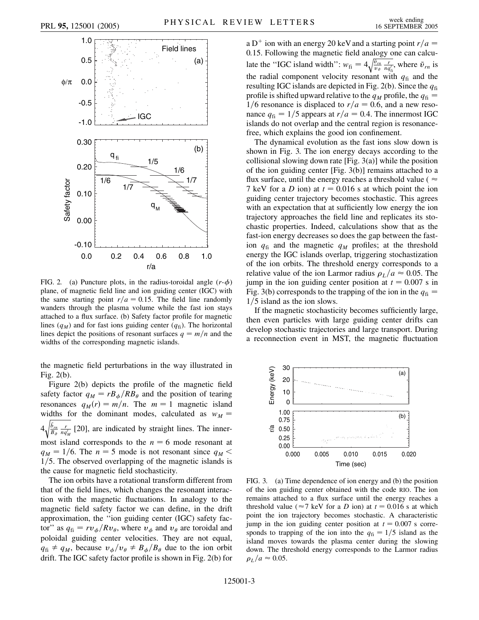

FIG. 2. (a) Puncture plots, in the radius-toroidal angle  $(r-\phi)$ plane, of magnetic field line and ion guiding center (IGC) with the same starting point  $r/a = 0.15$ . The field line randomly wanders through the plasma volume while the fast ion stays attached to a flux surface. (b) Safety factor profile for magnetic lines  $(q_M)$  and for fast ions guiding center  $(q_f)$ . The horizontal lines depict the positions of resonant surfaces  $q = m/n$  and the widths of the corresponding magnetic islands.

the magnetic field perturbations in the way illustrated in Fig. 2(b).

Figure 2(b) depicts the profile of the magnetic field safety factor  $q_M = rB_\phi / RB_\theta$  and the position of tearing resonances  $q_M(r) = m/n$ . The  $m = 1$  magnetic island widths for the dominant modes, calculated as  $w_M =$ 4  $\frac{\tilde{b}_{rn}}{B_{\vartheta}} \frac{r}{nq'_M}$ .<br>T [20], are indicated by straight lines. The innermost island corresponds to the  $n = 6$  mode resonant at  $q_M = 1/6$ . The  $n = 5$  mode is not resonant since  $q_M <$ 1/5. The observed overlapping of the magnetic islands is the cause for magnetic field stochasticity.

The ion orbits have a rotational transform different from that of the field lines, which changes the resonant interaction with the magnetic fluctuations. In analogy to the magnetic field safety factor we can define, in the drift approximation, the ''ion guiding center (IGC) safety factor" as  $q_{fi} = r v_{\phi} / R v_{\theta}$ , where  $v_{\phi}$  and  $v_{\theta}$  are toroidal and poloidal guiding center velocities. They are not equal,  $q_{fi} \neq q_M$ , because  $v_{\phi}/v_{\theta} \neq B_{\phi}/B_{\theta}$  due to the ion orbit drift. The IGC safety factor profile is shown in Fig. 2(b) for

a D<sup>+</sup> ion with an energy 20 keV and a starting point  $r/a =$ 0*:*15. Following the magnetic field analogy one can calculate the "IGC island width":  $w_{fi} = 4 \sqrt{\frac{v_{ra}}{v_{a}} \frac{r}{ndc}}$  $\sqrt{\frac{\tilde{v}_{rn}}{v_{\vartheta}} \frac{r}{nq'_{\text{fi}}}}$ , where  $\tilde{v}_{rn}$  is the radial component velocity resonant with  $q<sub>fi</sub>$  and the resulting IGC islands are depicted in Fig. 2(b). Since the *q*fi profile is shifted upward relative to the  $q_M$  profile, the  $q_{fi} =$ 1/6 resonance is displaced to  $r/a = 0.6$ , and a new resonance  $q_{fi} = 1/5$  appears at  $r/a = 0.4$ . The innermost IGC islands do not overlap and the central region is resonancefree, which explains the good ion confinement.

The dynamical evolution as the fast ions slow down is shown in Fig. 3. The ion energy decays according to the collisional slowing down rate [Fig. 3(a)] while the position of the ion guiding center [Fig. 3(b)] remains attached to a flux surface, until the energy reaches a threshold value ( $\approx$ 7 keV for a *D* ion) at  $t = 0.016$  s at which point the ion guiding center trajectory becomes stochastic. This agrees with an expectation that at sufficiently low energy the ion trajectory approaches the field line and replicates its stochastic properties. Indeed, calculations show that as the fast-ion energy decreases so does the gap between the fastion  $q_{fi}$  and the magnetic  $q_M$  profiles; at the threshold energy the IGC islands overlap, triggering stochastization of the ion orbits. The threshold energy corresponds to a relative value of the ion Larmor radius  $\rho_L/a \approx 0.05$ . The jump in the ion guiding center position at  $t = 0.007$  s in Fig. 3(b) corresponds to the trapping of the ion in the  $q_{fi} =$ 1/5 island as the ion slows.

If the magnetic stochasticity becomes sufficiently large, then even particles with large guiding center drifts can develop stochastic trajectories and large transport. During a reconnection event in MST, the magnetic fluctuation



FIG. 3. (a) Time dependence of ion energy and (b) the position of the ion guiding center obtained with the code RIO. The ion remains attached to a flux surface until the energy reaches a threshold value ( $\approx$ 7 keV for a *D* ion) at  $t = 0.016$  s at which point the ion trajectory becomes stochastic. A characteristic jump in the ion guiding center position at  $t = 0.007$  s corresponds to trapping of the ion into the  $q_{fi} = 1/5$  island as the island moves towards the plasma center during the slowing down. The threshold energy corresponds to the Larmor radius  $\rho_L/a \approx 0.05$ .